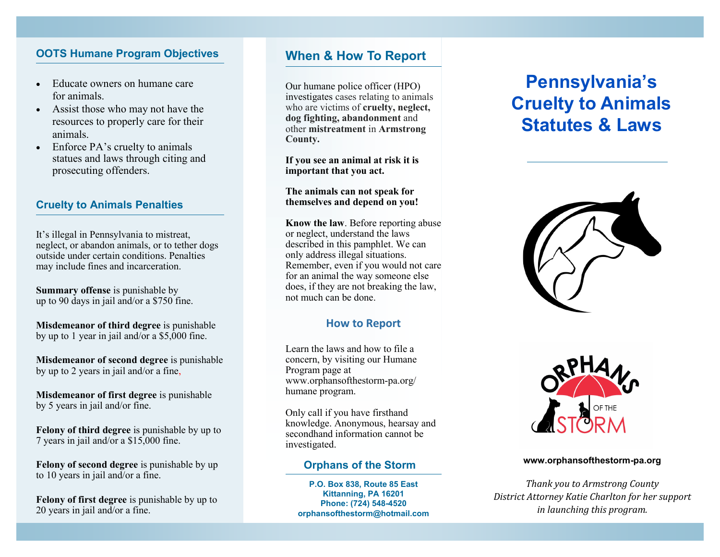## **OOTS Humane Program Objectives**

- Educate owners on humane care for animals.
- Assist those who may not have the resources to properly care for their animals.
- Enforce PA's cruelty to animals statues and laws through citing and prosecuting offenders.

#### **Cruelty to Animals Penalties**

It's illegal in Pennsylvania to mistreat, neglect, or abandon animals, or to tether dogs outside under certain conditions. Penalties may include fines and incarceration.

**Summary offense** is punishable by up to 90 days in jail and/or a \$750 fine.

**Misdemeanor of third degree** is punishable by up to 1 year in jail and/or a \$5,000 fine.

**Misdemeanor of second degree** is punishable by up to 2 years in jail and/or a fine,

**Misdemeanor of first degree** is punishable by 5 years in jail and/or fine.

**Felony of third degree** is punishable by up to 7 years in jail and/or a \$15,000 fine.

**Felony of second degree** is punishable by up to 10 years in jail and/or a fine.

**Felony of first degree** is punishable by up to 20 years in jail and/or a fine.

# **When & How To Report**

Our humane police officer (HPO) investigates cases relating to animals who are victims of **cruelty, neglect, dog fighting, abandonment** and other **mistreatment** in **Armstrong County.**

**If you see an animal at risk it is important that you act.** 

#### **The animals can not speak for themselves and depend on you!**

**Know the law**. Before reporting abuse or neglect, understand the laws described in this pamphlet. We can only address illegal situations. Remember, even if you would not care for an animal the way someone else does, if they are not breaking the law, not much can be done.

### **How to Report**

Learn the laws and how to file a concern, by visiting our Humane Program page at www.orphansofthestorm-pa.org/ humane program.

Only call if you have firsthand knowledge. Anonymous, hearsay and secondhand information cannot be investigated.

### **Orphans of the Storm**

**P.O. Box 838, Route 85 East Kittanning, PA 16201 Phone: (724) 548-4520 orphansofthestorm@hotmail.com**

# **Pennsylvania's Cruelty to Animals Statutes & Laws**





#### **www.orphansofthestorm-pa.org**

*Thank you to Armstrong County District Attorney Katie Charlton for her support in launching this program.*